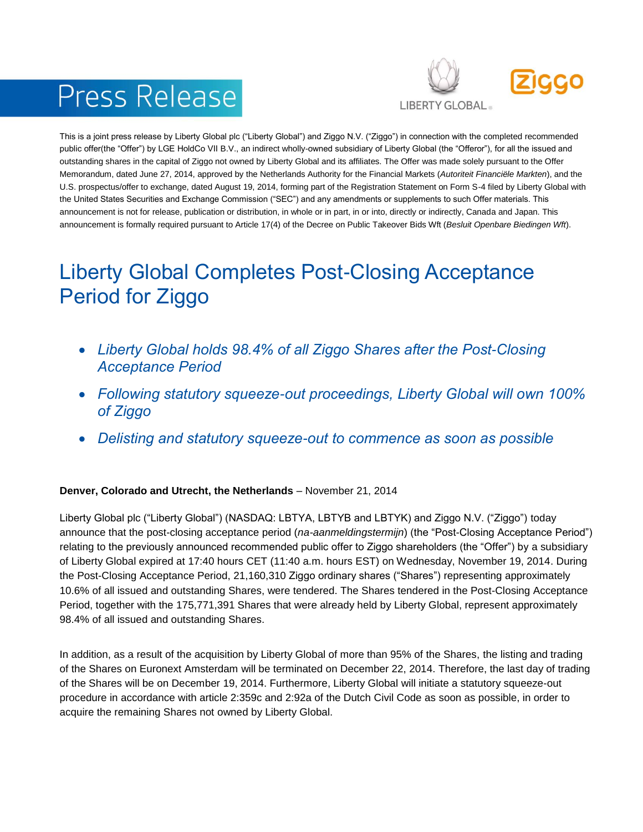# Press Release



This is a joint press release by Liberty Global plc ("Liberty Global") and Ziggo N.V. ("Ziggo") in connection with the completed recommended public offer(the "Offer") by LGE HoldCo VII B.V., an indirect wholly-owned subsidiary of Liberty Global (the "Offeror"), for all the issued and outstanding shares in the capital of Ziggo not owned by Liberty Global and its affiliates. The Offer was made solely pursuant to the Offer Memorandum, dated June 27, 2014, approved by the Netherlands Authority for the Financial Markets (*Autoriteit Financiële Markten*), and the U.S. prospectus/offer to exchange, dated August 19, 2014, forming part of the Registration Statement on Form S-4 filed by Liberty Global with the United States Securities and Exchange Commission ("SEC") and any amendments or supplements to such Offer materials. This announcement is not for release, publication or distribution, in whole or in part, in or into, directly or indirectly, Canada and Japan. This announcement is formally required pursuant to Article 17(4) of the Decree on Public Takeover Bids Wft (*Besluit Openbare Biedingen Wft*).

## Liberty Global Completes Post-Closing Acceptance Period for Ziggo

- *Liberty Global holds 98.4% of all Ziggo Shares after the Post-Closing Acceptance Period*
- *Following statutory squeeze-out proceedings, Liberty Global will own 100% of Ziggo*
- *Delisting and statutory squeeze-out to commence as soon as possible*

### **Denver, Colorado and Utrecht, the Netherlands** – November 21, 2014

Liberty Global plc ("Liberty Global") (NASDAQ: LBTYA, LBTYB and LBTYK) and Ziggo N.V. ("Ziggo") today announce that the post-closing acceptance period (*na-aanmeldingstermijn*) (the "Post-Closing Acceptance Period") relating to the previously announced recommended public offer to Ziggo shareholders (the "Offer") by a subsidiary of Liberty Global expired at 17:40 hours CET (11:40 a.m. hours EST) on Wednesday, November 19, 2014. During the Post-Closing Acceptance Period, 21,160,310 Ziggo ordinary shares ("Shares") representing approximately 10.6% of all issued and outstanding Shares, were tendered. The Shares tendered in the Post-Closing Acceptance Period, together with the 175,771,391 Shares that were already held by Liberty Global, represent approximately 98.4% of all issued and outstanding Shares.

In addition, as a result of the acquisition by Liberty Global of more than 95% of the Shares, the listing and trading of the Shares on Euronext Amsterdam will be terminated on December 22, 2014. Therefore, the last day of trading of the Shares will be on December 19, 2014. Furthermore, Liberty Global will initiate a statutory squeeze-out procedure in accordance with article 2:359c and 2:92a of the Dutch Civil Code as soon as possible, in order to acquire the remaining Shares not owned by Liberty Global.